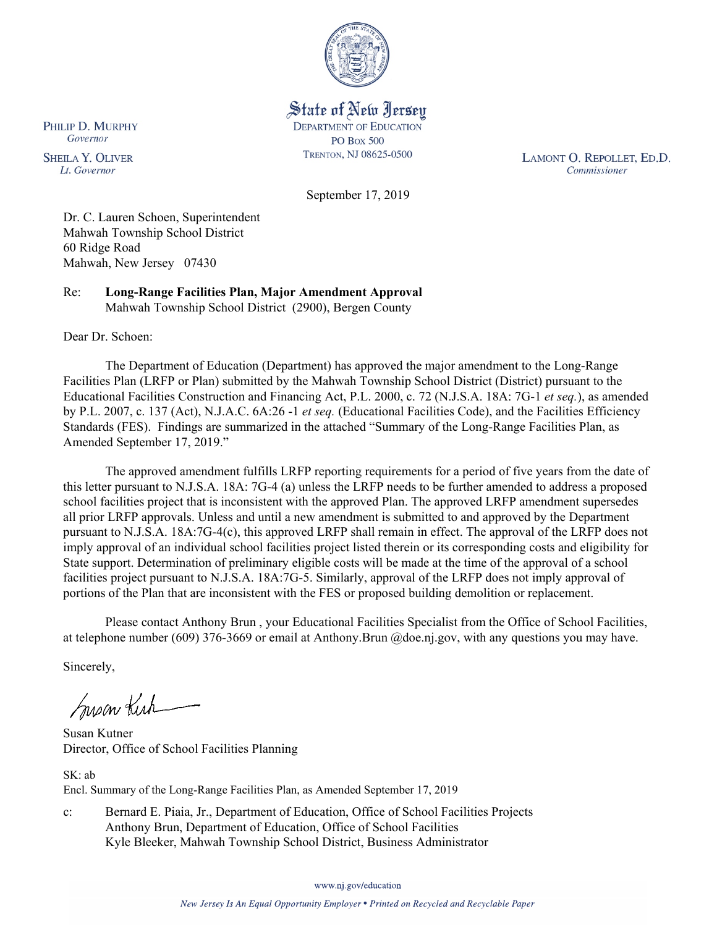

State of New Jersey **DEPARTMENT OF EDUCATION PO Box 500** TRENTON, NJ 08625-0500

LAMONT O. REPOLLET, ED.D. Commissioner

September 17, 2019

Dr. C. Lauren Schoen, Superintendent Mahwah Township School District 60 Ridge Road Mahwah, New Jersey 07430

Re: **Long-Range Facilities Plan, Major Amendment Approval** Mahwah Township School District (2900), Bergen County

Dear Dr. Schoen:

PHILIP D. MURPHY Governor

**SHEILA Y. OLIVER** 

Lt. Governor

The Department of Education (Department) has approved the major amendment to the Long-Range Facilities Plan (LRFP or Plan) submitted by the Mahwah Township School District (District) pursuant to the Educational Facilities Construction and Financing Act, P.L. 2000, c. 72 (N.J.S.A. 18A: 7G-1 *et seq.*), as amended by P.L. 2007, c. 137 (Act), N.J.A.C. 6A:26 -1 *et seq.* (Educational Facilities Code), and the Facilities Efficiency Standards (FES). Findings are summarized in the attached "Summary of the Long-Range Facilities Plan, as Amended September 17, 2019."

The approved amendment fulfills LRFP reporting requirements for a period of five years from the date of this letter pursuant to N.J.S.A. 18A: 7G-4 (a) unless the LRFP needs to be further amended to address a proposed school facilities project that is inconsistent with the approved Plan. The approved LRFP amendment supersedes all prior LRFP approvals. Unless and until a new amendment is submitted to and approved by the Department pursuant to N.J.S.A. 18A:7G-4(c), this approved LRFP shall remain in effect. The approval of the LRFP does not imply approval of an individual school facilities project listed therein or its corresponding costs and eligibility for State support. Determination of preliminary eligible costs will be made at the time of the approval of a school facilities project pursuant to N.J.S.A. 18A:7G-5. Similarly, approval of the LRFP does not imply approval of portions of the Plan that are inconsistent with the FES or proposed building demolition or replacement.

Please contact Anthony Brun , your Educational Facilities Specialist from the Office of School Facilities, at telephone number (609) 376-3669 or email at Anthony.Brun @doe.nj.gov, with any questions you may have.

Sincerely,

Susan Kich

Susan Kutner Director, Office of School Facilities Planning

SK: ab Encl. Summary of the Long-Range Facilities Plan, as Amended September 17, 2019

c: Bernard E. Piaia, Jr., Department of Education, Office of School Facilities Projects Anthony Brun, Department of Education, Office of School Facilities Kyle Bleeker, Mahwah Township School District, Business Administrator

www.nj.gov/education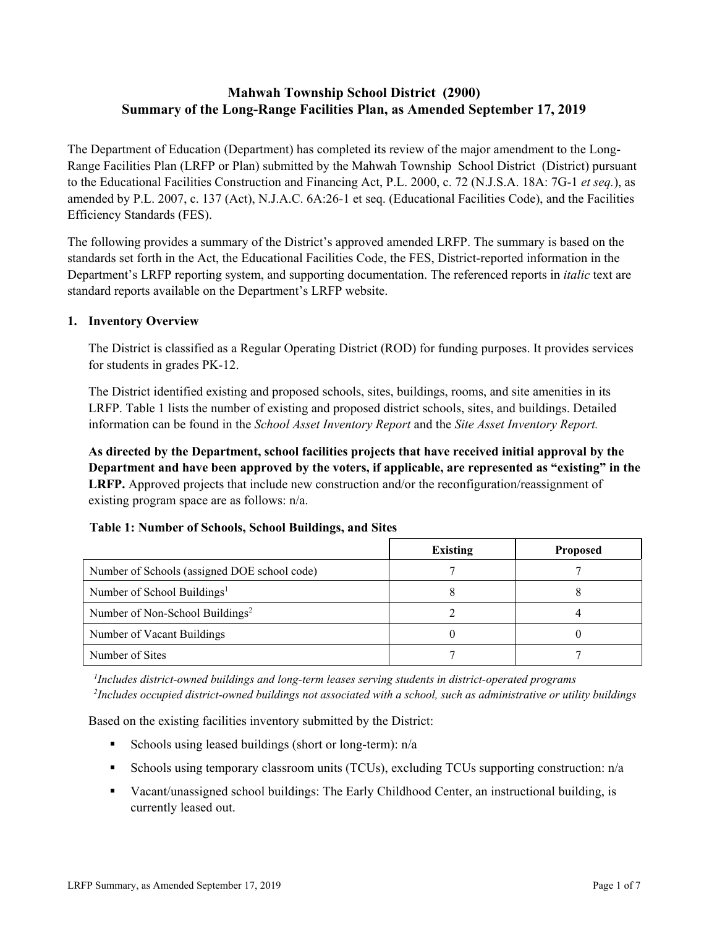# **Mahwah Township School District (2900) Summary of the Long-Range Facilities Plan, as Amended September 17, 2019**

The Department of Education (Department) has completed its review of the major amendment to the Long-Range Facilities Plan (LRFP or Plan) submitted by the Mahwah Township School District (District) pursuant to the Educational Facilities Construction and Financing Act, P.L. 2000, c. 72 (N.J.S.A. 18A: 7G-1 *et seq.*), as amended by P.L. 2007, c. 137 (Act), N.J.A.C. 6A:26-1 et seq. (Educational Facilities Code), and the Facilities Efficiency Standards (FES).

The following provides a summary of the District's approved amended LRFP. The summary is based on the standards set forth in the Act, the Educational Facilities Code, the FES, District-reported information in the Department's LRFP reporting system, and supporting documentation. The referenced reports in *italic* text are standard reports available on the Department's LRFP website.

#### **1. Inventory Overview**

The District is classified as a Regular Operating District (ROD) for funding purposes. It provides services for students in grades PK-12.

The District identified existing and proposed schools, sites, buildings, rooms, and site amenities in its LRFP. Table 1 lists the number of existing and proposed district schools, sites, and buildings. Detailed information can be found in the *School Asset Inventory Report* and the *Site Asset Inventory Report.*

**As directed by the Department, school facilities projects that have received initial approval by the Department and have been approved by the voters, if applicable, are represented as "existing" in the LRFP.** Approved projects that include new construction and/or the reconfiguration/reassignment of existing program space are as follows: n/a.

| Table 1: Number of Schools, School Buildings, and Sites |  |
|---------------------------------------------------------|--|
|---------------------------------------------------------|--|

|                                              | <b>Existing</b> | <b>Proposed</b> |
|----------------------------------------------|-----------------|-----------------|
| Number of Schools (assigned DOE school code) |                 |                 |
| Number of School Buildings <sup>1</sup>      |                 |                 |
| Number of Non-School Buildings <sup>2</sup>  |                 |                 |
| Number of Vacant Buildings                   |                 |                 |
| Number of Sites                              |                 |                 |

*1 Includes district-owned buildings and long-term leases serving students in district-operated programs 2 Includes occupied district-owned buildings not associated with a school, such as administrative or utility buildings*

Based on the existing facilities inventory submitted by the District:

- Schools using leased buildings (short or long-term):  $n/a$
- Schools using temporary classroom units (TCUs), excluding TCUs supporting construction: n/a
- Vacant/unassigned school buildings: The Early Childhood Center, an instructional building, is currently leased out.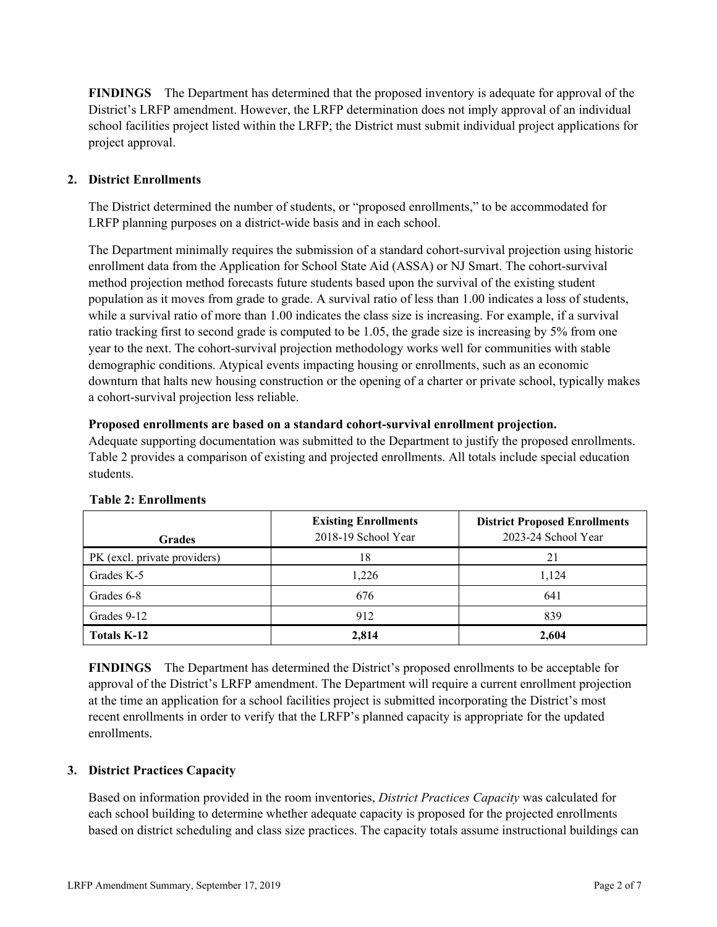**FINDINGS** The Department has determined that the proposed inventory is adequate for approval of the District's LRFP amendment. However, the LRFP determination does not imply approval of an individual school facilities project listed within the LRFP; the District must submit individual project applications for project approval.

# **2. District Enrollments**

The District determined the number of students, or "proposed enrollments," to be accommodated for LRFP planning purposes on a district-wide basis and in each school.

The Department minimally requires the submission of a standard cohort-survival projection using historic enrollment data from the Application for School State Aid (ASSA) or NJ Smart. The cohort-survival method projection method forecasts future students based upon the survival of the existing student population as it moves from grade to grade. A survival ratio of less than 1.00 indicates a loss of students, while a survival ratio of more than 1.00 indicates the class size is increasing. For example, if a survival ratio tracking first to second grade is computed to be 1.05, the grade size is increasing by 5% from one year to the next. The cohort-survival projection methodology works well for communities with stable demographic conditions. Atypical events impacting housing or enrollments, such as an economic downturn that halts new housing construction or the opening of a charter or private school, typically makes a cohort-survival projection less reliable.

#### **Proposed enrollments are based on a standard cohort-survival enrollment projection.**

Adequate supporting documentation was submitted to the Department to justify the proposed enrollments. Table 2 provides a comparison of existing and projected enrollments. All totals include special education students.

| <b>Grades</b>                | <b>Existing Enrollments</b><br>2018-19 School Year | <b>District Proposed Enrollments</b><br>2023-24 School Year |
|------------------------------|----------------------------------------------------|-------------------------------------------------------------|
| PK (excl. private providers) | 18                                                 | 21                                                          |
| Grades K-5                   | 1,226                                              | 1,124                                                       |
| Grades 6-8                   | 676                                                | 641                                                         |
| Grades 9-12                  | 912                                                | 839                                                         |
| <b>Totals K-12</b>           | 2,814                                              | 2,604                                                       |

#### **Table 2: Enrollments**

**FINDINGS** The Department has determined the District's proposed enrollments to be acceptable for approval of the District's LRFP amendment. The Department will require a current enrollment projection at the time an application for a school facilities project is submitted incorporating the District's most recent enrollments in order to verify that the LRFP's planned capacity is appropriate for the updated enrollments.

#### **3. District Practices Capacity**

Based on information provided in the room inventories, *District Practices Capacity* was calculated for each school building to determine whether adequate capacity is proposed for the projected enrollments based on district scheduling and class size practices. The capacity totals assume instructional buildings can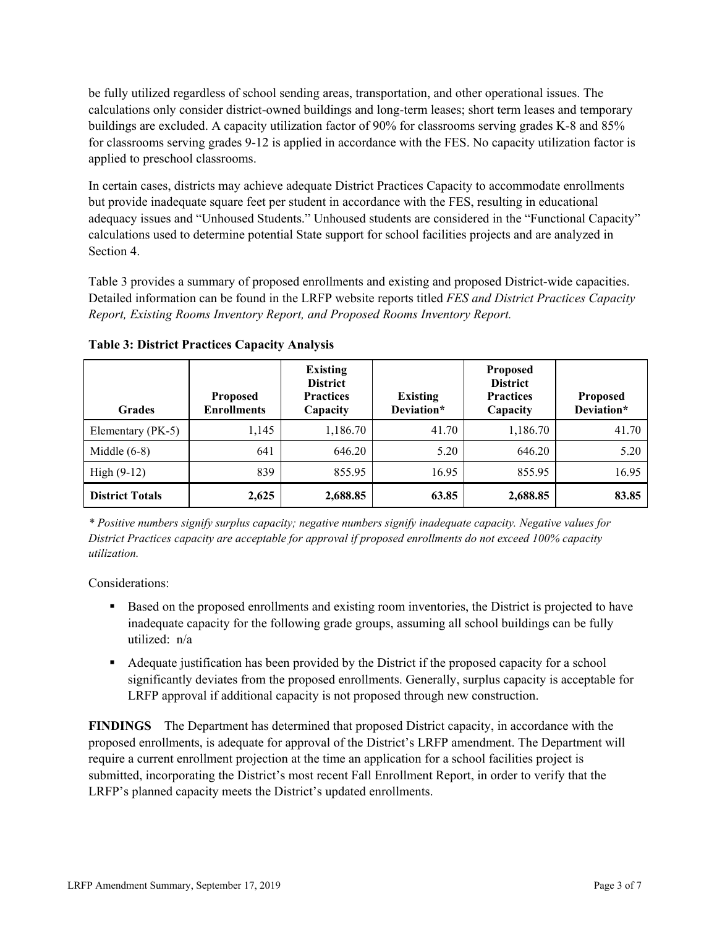be fully utilized regardless of school sending areas, transportation, and other operational issues. The calculations only consider district-owned buildings and long-term leases; short term leases and temporary buildings are excluded. A capacity utilization factor of 90% for classrooms serving grades K-8 and 85% for classrooms serving grades 9-12 is applied in accordance with the FES. No capacity utilization factor is applied to preschool classrooms.

In certain cases, districts may achieve adequate District Practices Capacity to accommodate enrollments but provide inadequate square feet per student in accordance with the FES, resulting in educational adequacy issues and "Unhoused Students." Unhoused students are considered in the "Functional Capacity" calculations used to determine potential State support for school facilities projects and are analyzed in Section 4.

Table 3 provides a summary of proposed enrollments and existing and proposed District-wide capacities. Detailed information can be found in the LRFP website reports titled *FES and District Practices Capacity Report, Existing Rooms Inventory Report, and Proposed Rooms Inventory Report.*

| <b>Grades</b>          | <b>Proposed</b><br><b>Enrollments</b> | <b>Existing</b><br><b>District</b><br><b>Practices</b><br>Capacity | <b>Existing</b><br>Deviation* | <b>Proposed</b><br><b>District</b><br><b>Practices</b><br>Capacity | <b>Proposed</b><br>Deviation* |
|------------------------|---------------------------------------|--------------------------------------------------------------------|-------------------------------|--------------------------------------------------------------------|-------------------------------|
| Elementary (PK-5)      | 1,145                                 | 1,186.70                                                           | 41.70                         | 1,186.70                                                           | 41.70                         |
| Middle $(6-8)$         | 641                                   | 646.20                                                             | 5.20                          | 646.20                                                             | 5.20                          |
| High $(9-12)$          | 839                                   | 855.95                                                             | 16.95                         | 855.95                                                             | 16.95                         |
| <b>District Totals</b> | 2,625                                 | 2,688.85                                                           | 63.85                         | 2,688.85                                                           | 83.85                         |

**Table 3: District Practices Capacity Analysis**

*\* Positive numbers signify surplus capacity; negative numbers signify inadequate capacity. Negative values for District Practices capacity are acceptable for approval if proposed enrollments do not exceed 100% capacity utilization.*

Considerations:

- Based on the proposed enrollments and existing room inventories, the District is projected to have inadequate capacity for the following grade groups, assuming all school buildings can be fully utilized: n/a
- Adequate justification has been provided by the District if the proposed capacity for a school significantly deviates from the proposed enrollments. Generally, surplus capacity is acceptable for LRFP approval if additional capacity is not proposed through new construction.

**FINDINGS**The Department has determined that proposed District capacity, in accordance with the proposed enrollments, is adequate for approval of the District's LRFP amendment. The Department will require a current enrollment projection at the time an application for a school facilities project is submitted, incorporating the District's most recent Fall Enrollment Report, in order to verify that the LRFP's planned capacity meets the District's updated enrollments.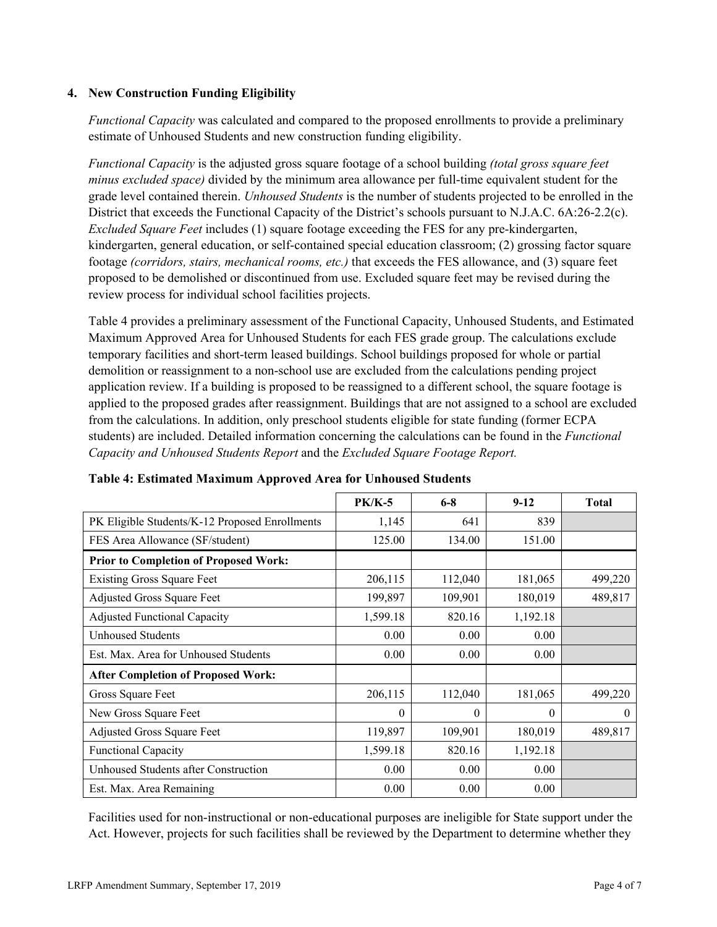### **4. New Construction Funding Eligibility**

*Functional Capacity* was calculated and compared to the proposed enrollments to provide a preliminary estimate of Unhoused Students and new construction funding eligibility.

*Functional Capacity* is the adjusted gross square footage of a school building *(total gross square feet minus excluded space)* divided by the minimum area allowance per full-time equivalent student for the grade level contained therein. *Unhoused Students* is the number of students projected to be enrolled in the District that exceeds the Functional Capacity of the District's schools pursuant to N.J.A.C. 6A:26-2.2(c). *Excluded Square Feet* includes (1) square footage exceeding the FES for any pre-kindergarten, kindergarten, general education, or self-contained special education classroom; (2) grossing factor square footage *(corridors, stairs, mechanical rooms, etc.)* that exceeds the FES allowance, and (3) square feet proposed to be demolished or discontinued from use. Excluded square feet may be revised during the review process for individual school facilities projects.

Table 4 provides a preliminary assessment of the Functional Capacity, Unhoused Students, and Estimated Maximum Approved Area for Unhoused Students for each FES grade group. The calculations exclude temporary facilities and short-term leased buildings. School buildings proposed for whole or partial demolition or reassignment to a non-school use are excluded from the calculations pending project application review. If a building is proposed to be reassigned to a different school, the square footage is applied to the proposed grades after reassignment. Buildings that are not assigned to a school are excluded from the calculations. In addition, only preschool students eligible for state funding (former ECPA students) are included. Detailed information concerning the calculations can be found in the *Functional Capacity and Unhoused Students Report* and the *Excluded Square Footage Report.*

|                                                | $PK/K-5$ | $6 - 8$  | $9-12$   | <b>Total</b> |
|------------------------------------------------|----------|----------|----------|--------------|
| PK Eligible Students/K-12 Proposed Enrollments | 1,145    | 641      | 839      |              |
| FES Area Allowance (SF/student)                | 125.00   | 134.00   | 151.00   |              |
| <b>Prior to Completion of Proposed Work:</b>   |          |          |          |              |
| <b>Existing Gross Square Feet</b>              | 206,115  | 112,040  | 181,065  | 499,220      |
| Adjusted Gross Square Feet                     | 199,897  | 109,901  | 180,019  | 489,817      |
| <b>Adjusted Functional Capacity</b>            | 1,599.18 | 820.16   | 1,192.18 |              |
| Unhoused Students                              | 0.00     | 0.00     | 0.00     |              |
| Est. Max. Area for Unhoused Students           | 0.00     | 0.00     | 0.00     |              |
| <b>After Completion of Proposed Work:</b>      |          |          |          |              |
| Gross Square Feet                              | 206,115  | 112,040  | 181,065  | 499,220      |
| New Gross Square Feet                          | $\theta$ | $\theta$ | $\theta$ | $\theta$     |
| Adjusted Gross Square Feet                     | 119,897  | 109,901  | 180,019  | 489,817      |
| <b>Functional Capacity</b>                     | 1,599.18 | 820.16   | 1,192.18 |              |
| Unhoused Students after Construction           | 0.00     | 0.00     | 0.00     |              |
| Est. Max. Area Remaining                       | 0.00     | 0.00     | 0.00     |              |

#### **Table 4: Estimated Maximum Approved Area for Unhoused Students**

Facilities used for non-instructional or non-educational purposes are ineligible for State support under the Act. However, projects for such facilities shall be reviewed by the Department to determine whether they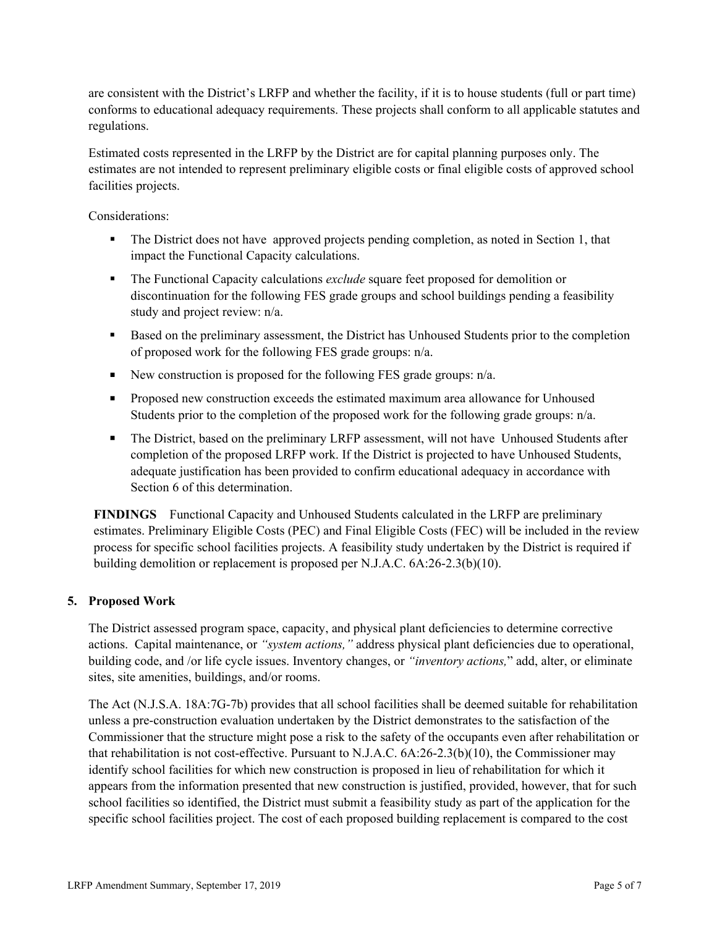are consistent with the District's LRFP and whether the facility, if it is to house students (full or part time) conforms to educational adequacy requirements. These projects shall conform to all applicable statutes and regulations.

Estimated costs represented in the LRFP by the District are for capital planning purposes only. The estimates are not intended to represent preliminary eligible costs or final eligible costs of approved school facilities projects.

Considerations:

- The District does not have approved projects pending completion, as noted in Section 1, that impact the Functional Capacity calculations.
- The Functional Capacity calculations *exclude* square feet proposed for demolition or discontinuation for the following FES grade groups and school buildings pending a feasibility study and project review: n/a.
- Based on the preliminary assessment, the District has Unhoused Students prior to the completion of proposed work for the following FES grade groups: n/a.
- New construction is proposed for the following FES grade groups:  $n/a$ .
- **Proposed new construction exceeds the estimated maximum area allowance for Unhoused** Students prior to the completion of the proposed work for the following grade groups: n/a.
- The District, based on the preliminary LRFP assessment, will not have Unhoused Students after completion of the proposed LRFP work. If the District is projected to have Unhoused Students, adequate justification has been provided to confirm educational adequacy in accordance with Section 6 of this determination.

**FINDINGS** Functional Capacity and Unhoused Students calculated in the LRFP are preliminary estimates. Preliminary Eligible Costs (PEC) and Final Eligible Costs (FEC) will be included in the review process for specific school facilities projects. A feasibility study undertaken by the District is required if building demolition or replacement is proposed per N.J.A.C. 6A:26-2.3(b)(10).

# **5. Proposed Work**

The District assessed program space, capacity, and physical plant deficiencies to determine corrective actions. Capital maintenance, or *"system actions,"* address physical plant deficiencies due to operational, building code, and /or life cycle issues. Inventory changes, or *"inventory actions,*" add, alter, or eliminate sites, site amenities, buildings, and/or rooms.

The Act (N.J.S.A. 18A:7G-7b) provides that all school facilities shall be deemed suitable for rehabilitation unless a pre-construction evaluation undertaken by the District demonstrates to the satisfaction of the Commissioner that the structure might pose a risk to the safety of the occupants even after rehabilitation or that rehabilitation is not cost-effective. Pursuant to N.J.A.C. 6A:26-2.3(b)(10), the Commissioner may identify school facilities for which new construction is proposed in lieu of rehabilitation for which it appears from the information presented that new construction is justified, provided, however, that for such school facilities so identified, the District must submit a feasibility study as part of the application for the specific school facilities project. The cost of each proposed building replacement is compared to the cost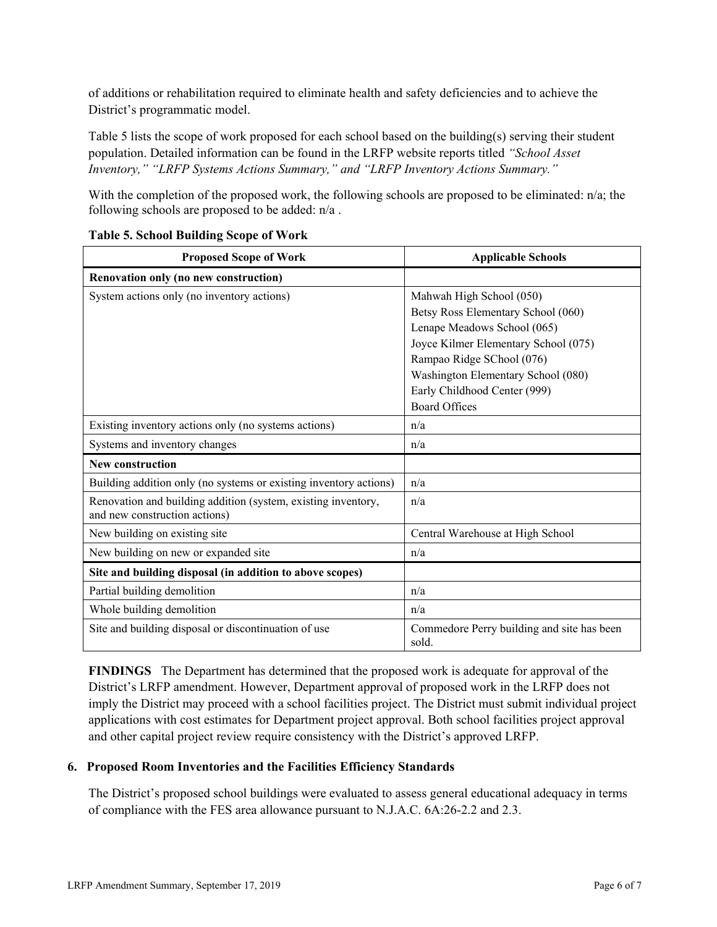of additions or rehabilitation required to eliminate health and safety deficiencies and to achieve the District's programmatic model.

Table 5 lists the scope of work proposed for each school based on the building(s) serving their student population. Detailed information can be found in the LRFP website reports titled *"School Asset Inventory," "LRFP Systems Actions Summary," and "LRFP Inventory Actions Summary."*

With the completion of the proposed work, the following schools are proposed to be eliminated:  $n/a$ ; the following schools are proposed to be added: n/a .

| <b>Proposed Scope of Work</b>                                                                  | <b>Applicable Schools</b>                           |
|------------------------------------------------------------------------------------------------|-----------------------------------------------------|
| Renovation only (no new construction)                                                          |                                                     |
| System actions only (no inventory actions)                                                     | Mahwah High School (050)                            |
|                                                                                                | Betsy Ross Elementary School (060)                  |
|                                                                                                | Lenape Meadows School (065)                         |
|                                                                                                | Joyce Kilmer Elementary School (075)                |
|                                                                                                | Rampao Ridge SChool (076)                           |
|                                                                                                | Washington Elementary School (080)                  |
|                                                                                                | Early Childhood Center (999)                        |
|                                                                                                | <b>Board Offices</b>                                |
| Existing inventory actions only (no systems actions)                                           | n/a                                                 |
| Systems and inventory changes                                                                  | n/a                                                 |
| <b>New construction</b>                                                                        |                                                     |
| Building addition only (no systems or existing inventory actions)                              | n/a                                                 |
| Renovation and building addition (system, existing inventory,<br>and new construction actions) | n/a                                                 |
| New building on existing site                                                                  | Central Warehouse at High School                    |
| New building on new or expanded site                                                           | n/a                                                 |
| Site and building disposal (in addition to above scopes)                                       |                                                     |
| Partial building demolition                                                                    | n/a                                                 |
| Whole building demolition                                                                      | n/a                                                 |
| Site and building disposal or discontinuation of use                                           | Commedore Perry building and site has been<br>sold. |

# **Table 5. School Building Scope of Work**

**FINDINGS** The Department has determined that the proposed work is adequate for approval of the District's LRFP amendment. However, Department approval of proposed work in the LRFP does not imply the District may proceed with a school facilities project. The District must submit individual project applications with cost estimates for Department project approval. Both school facilities project approval and other capital project review require consistency with the District's approved LRFP.

# **6. Proposed Room Inventories and the Facilities Efficiency Standards**

The District's proposed school buildings were evaluated to assess general educational adequacy in terms of compliance with the FES area allowance pursuant to N.J.A.C. 6A:26-2.2 and 2.3.